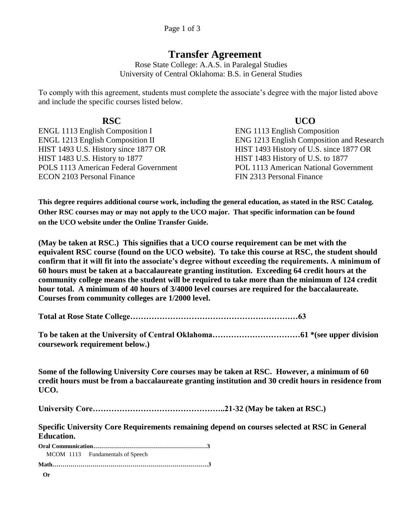## **Transfer Agreement**

Rose State College: A.A.S. in Paralegal Studies University of Central Oklahoma: B.S. in General Studies

To comply with this agreement, students must complete the associate's degree with the major listed above and include the specific courses listed below.

ENGL 1113 English Composition I ENG 1113 English Composition HIST 1493 U.S. History since 1877 OR HIST 1493 History of U.S. since 1877 OR HIST 1483 U.S. History to 1877 HIST 1483 History of U.S. to 1877 POLS 1113 American Federal Government POL 1113 American National Government ECON 2103 Personal Finance FIN 2313 Personal Finance

**RSC UCO**  ENGL 1213 English Composition II ENG 1213 English Composition and Research

**This degree requires additional course work, including the general education, as stated in the RSC Catalog. Other RSC courses may or may not apply to the UCO major. That specific information can be found on the UCO website under the Online Transfer Guide.**

**(May be taken at RSC.) This signifies that a UCO course requirement can be met with the equivalent RSC course (found on the UCO website). To take this course at RSC, the student should confirm that it will fit into the associate's degree without exceeding the requirements. A minimum of 60 hours must be taken at a baccalaureate granting institution. Exceeding 64 credit hours at the community college means the student will be required to take more than the minimum of 124 credit hour total. A minimum of 40 hours of 3/4000 level courses are required for the baccalaureate. Courses from community colleges are 1/2000 level.**

**Total at Rose State College………………………………………………………63**

**To be taken at the University of Central Oklahoma……………………………61 \*(see upper division coursework requirement below.)**

**Some of the following University Core courses may be taken at RSC. However, a minimum of 60 credit hours must be from a baccalaureate granting institution and 30 credit hours in residence from UCO.**

**University Core…………………………………………..21-32 (May be taken at RSC.)**

**Specific University Core Requirements remaining depend on courses selected at RSC in General Education.**

|    | MCOM 1113 Fundamentals of Speech |
|----|----------------------------------|
|    |                                  |
| Or |                                  |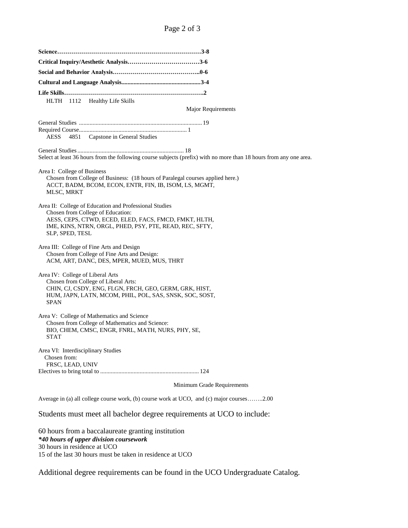**Science………………………………………………………………3-8 Critical Inquiry/Aesthetic Analysis………………………………3-6 Social and Behavior Analysis……………………………………..0-6 Cultural and Language Analysis....................................................3-4 Life Skills…………………………………………………………….2** HLTH 1112 Healthy Life Skills Major Requirements General Studies ................................................................................. 19 Required Course....................................................................... 1 AESS 4851 Capstone in General Studies General Studies...................................................................... 18 Select at least 36 hours from the following course subjects (prefix) with no more than 18 hours from any one area. Area I: College of Business Chosen from College of Business: (18 hours of Paralegal courses applied here.) ACCT, BADM, BCOM, ECON, ENTR, FIN, IB, ISOM, LS, MGMT, MLSC, MRKT Area II: College of Education and Professional Studies Chosen from College of Education: AESS, CEPS, CTWD, ECED, ELED, FACS, FMCD, FMKT, HLTH, IME, KINS, NTRN, ORGL, PHED, PSY, PTE, READ, REC, SFTY, SLP, SPED, TESL Area III: College of Fine Arts and Design Chosen from College of Fine Arts and Design: ACM, ART, DANC, DES, MPER, MUED, MUS, THRT Area IV: College of Liberal Arts Chosen from College of Liberal Arts: CHIN, CJ, CSDY, ENG, FLGN, FRCH, GEO, GERM, GRK, HIST, HUM, JAPN, LATN, MCOM, PHIL, POL, SAS, SNSK, SOC, SOST, SPAN Area V: College of Mathematics and Science Chosen from College of Mathematics and Science: BIO, CHEM, CMSC, ENGR, FNRL, MATH, NURS, PHY, SE, STAT Area VI: Interdisciplinary Studies Chosen from: FRSC, LEAD, UNIV Electives to bring total to ................................................................. 124 Minimum Grade Requirements Average in (a) all college course work, (b) course work at UCO, and (c) major courses……..2.00

Students must meet all bachelor degree requirements at UCO to include:

60 hours from a baccalaureate granting institution *\*40 hours of upper division coursework* 30 hours in residence at UCO 15 of the last 30 hours must be taken in residence at UCO

Additional degree requirements can be found in the UCO Undergraduate Catalog.